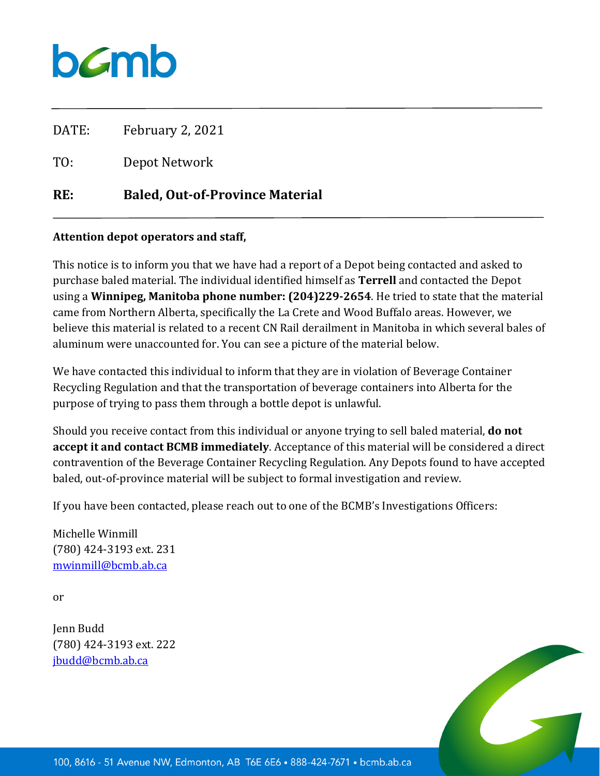

DATE: February 2, 2021

TO: Depot Network

## **RE: Baled, Out-of-Province Material**

## **Attention depot operators and staff,**

This notice is to inform you that we have had a report of a Depot being contacted and asked to purchase baled material. The individual identified himself as **Terrell** and contacted the Depot using a **Winnipeg, Manitoba phone number: (204)229-2654**. He tried to state that the material came from Northern Alberta, specifically the La Crete and Wood Buffalo areas. However, we believe this material is related to a recent CN Rail derailment in Manitoba in which several bales of aluminum were unaccounted for. You can see a picture of the material below.

We have contacted this individual to inform that they are in violation of Beverage Container Recycling Regulation and that the transportation of beverage containers into Alberta for the purpose of trying to pass them through a bottle depot is unlawful.

Should you receive contact from this individual or anyone trying to sell baled material, **do not accept it and contact BCMB immediately**. Acceptance of this material will be considered a direct contravention of the Beverage Container Recycling Regulation. Any Depots found to have accepted baled, out-of-province material will be subject to formal investigation and review.

If you have been contacted, please reach out to one of the BCMB's Investigations Officers:

Michelle Winmill (780) 424-3193 ext. 231 [mwinmill@bcmb.ab.ca](mailto:mwinmill@bcmb.ab.ca)

or

Jenn Budd (780) 424-3193 ext. 222 [jbudd@bcmb.ab.ca](mailto:jbudd@bcmb.ab.ca)